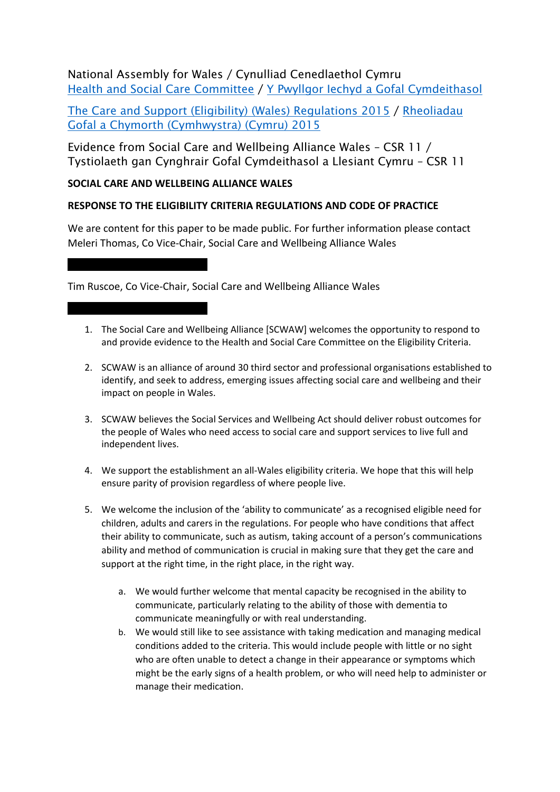## National Assembly for Wales / Cynulliad Cenedlaethol Cymru Health and Social Care [Committee](http://www.senedd.assembly.wales/mgCommitteeDetails.aspx?ID=227) / Y Pwyllgor Iechyd a Gofal [Cymdeithasol](http://www.senedd.cynulliad.cymru/mgCommitteeDetails.aspx?ID=227)

The Care and Support (Eligibility) (Wales) [Regulations](http://www.senedd.assembly.wales/mgConsultationDisplay.aspx?ID=177) 2015 / [Rheoliadau](http://www.senedd.cynulliad.cymru/mgConsultationDisplay.aspx?ID=177) Gofal a Chymorth [\(Cymhwystra\)](http://www.senedd.cynulliad.cymru/mgConsultationDisplay.aspx?ID=177) (Cymru) 2015

Evidence from Social Care and Wellbeing Alliance Wales – CSR 11 / Tystiolaeth gan Cynghrair Gofal Cymdeithasol a Llesiant Cymru – CSR 11

## **SOCIAL CARE AND WELLBEING ALLIANCE WALES**

## **RESPONSE TO THE ELIGIBILITY CRITERIA REGULATIONS AND CODE OF PRACTICE**

We are content for this paper to be made public. For further information please contact Meleri Thomas, Co Vice-Chair, Social Care and Wellbeing Alliance Wales

Tim Ruscoe, Co Vice-Chair, Social Care and Wellbeing Alliance Wales

- 1. The Social Care and Wellbeing Alliance [SCWAW] welcomes the opportunity to respond to and provide evidence to the Health and Social Care Committee on the Eligibility Criteria.
- 2. SCWAW is an alliance of around 30 third sector and professional organisations established to identify, and seek to address, emerging issues affecting social care and wellbeing and their impact on people in Wales.
- 3. SCWAW believes the Social Services and Wellbeing Act should deliver robust outcomes for the people of Wales who need access to social care and support services to live full and independent lives.
- 4. We support the establishment an all-Wales eligibility criteria. We hope that this will help ensure parity of provision regardless of where people live.
- 5. We welcome the inclusion of the 'ability to communicate' as a recognised eligible need for children, adults and carers in the regulations. For people who have conditions that affect their ability to communicate, such as autism, taking account of a person's communications ability and method of communication is crucial in making sure that they get the care and support at the right time, in the right place, in the right way.
	- a. We would further welcome that mental capacity be recognised in the ability to communicate, particularly relating to the ability of those with dementia to communicate meaningfully or with real understanding.
	- b. We would still like to see assistance with taking medication and managing medical conditions added to the criteria. This would include people with little or no sight who are often unable to detect a change in their appearance or symptoms which might be the early signs of a health problem, or who will need help to administer or manage their medication.